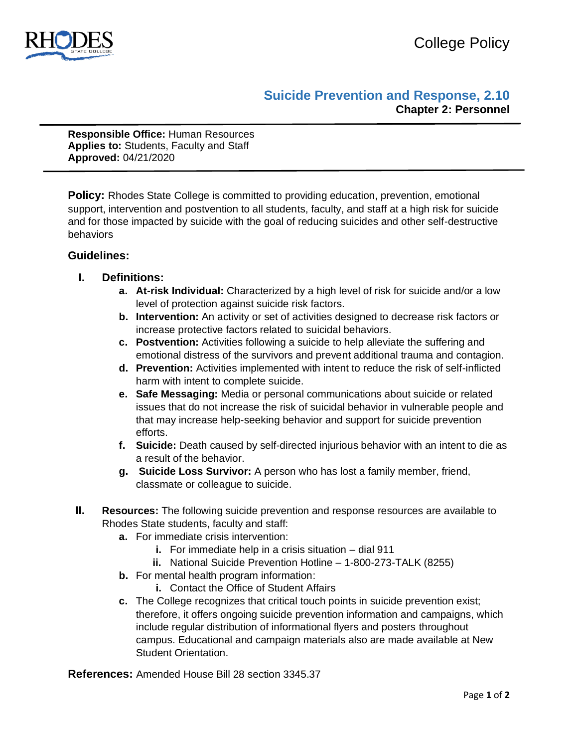

## **Suicide Prevention and Response, 2.10 Chapter 2: Personnel**

**Responsible Office:** Human Resources **Applies to:** Students, Faculty and Staff **Approved:** 04/21/2020

**Policy:** Rhodes State College is committed to providing education, prevention, emotional support, intervention and postvention to all students, faculty, and staff at a high risk for suicide and for those impacted by suicide with the goal of reducing suicides and other self-destructive behaviors

## **Guidelines:**

- **I. Definitions:** 
	- **a. At-risk Individual:** Characterized by a high level of risk for suicide and/or a low level of protection against suicide risk factors.
	- **b. Intervention:** An activity or set of activities designed to decrease risk factors or increase protective factors related to suicidal behaviors.
	- **c. Postvention:** Activities following a suicide to help alleviate the suffering and emotional distress of the survivors and prevent additional trauma and contagion.
	- **d. Prevention:** Activities implemented with intent to reduce the risk of self-inflicted harm with intent to complete suicide.
	- **e. Safe Messaging:** Media or personal communications about suicide or related issues that do not increase the risk of suicidal behavior in vulnerable people and that may increase help-seeking behavior and support for suicide prevention efforts.
	- **f. Suicide:** Death caused by self-directed injurious behavior with an intent to die as a result of the behavior.
	- **g. Suicide Loss Survivor:** A person who has lost a family member, friend, classmate or colleague to suicide.
- **II. Resources:** The following suicide prevention and response resources are available to Rhodes State students, faculty and staff:
	- **a.** For immediate crisis intervention:
		- **i.** For immediate help in a crisis situation dial 911
		- **ii.** National Suicide Prevention Hotline 1-800-273-TALK (8255)
	- **b.** For mental health program information:
		- **i.** Contact the Office of Student Affairs
	- **c.** The College recognizes that critical touch points in suicide prevention exist; therefore, it offers ongoing suicide prevention information and campaigns, which include regular distribution of informational flyers and posters throughout campus. Educational and campaign materials also are made available at New Student Orientation.

**References:** Amended House Bill 28 section 3345.37